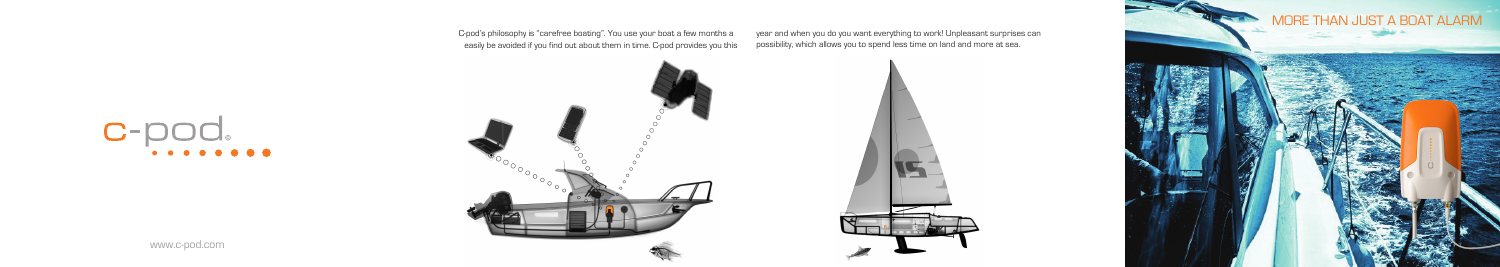www.c-pod.com



C-pod's philosophy is "carefree boating". You use your boat a few months a year and when you do you want everything to work! Unpleasant surprises can



# $C$ -pod.

easily be avoided if you find out about them in time. C-pod provides you this possibility, which allows you to spend less time on land and more at sea.